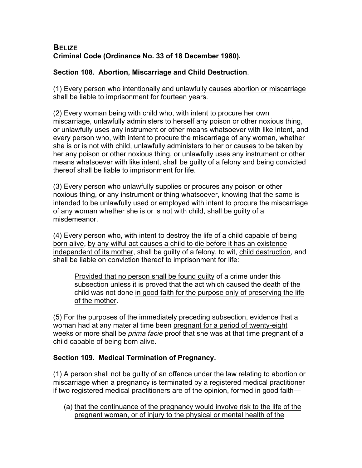## **BELIZE Criminal Code (Ordinance No. 33 of 18 December 1980).**

## **Section 108. Abortion, Miscarriage and Child Destruction**.

(1) Every person who intentionally and unlawfully causes abortion or miscarriage shall be liable to imprisonment for fourteen years.

(2) Every woman being with child who, with intent to procure her own miscarriage, unlawfully administers to herself any poison or other noxious thing, or unlawfully uses any instrument or other means whatsoever with like intent, and every person who, with intent to procure the miscarriage of any woman, whether she is or is not with child, unlawfully administers to her or causes to be taken by her any poison or other noxious thing, or unlawfully uses any instrument or other means whatsoever with like intent, shall be guilty of a felony and being convicted thereof shall be liable to imprisonment for life.

(3) Every person who unlawfully supplies or procures any poison or other noxious thing, or any instrument or thing whatsoever, knowing that the same is intended to be unlawfully used or employed with intent to procure the miscarriage of any woman whether she is or is not with child, shall be guilty of a misdemeanor.

(4) Every person who, with intent to destroy the life of a child capable of being born alive, by any wilful act causes a child to die before it has an existence independent of its mother, shall be guilty of a felony, to wit, child destruction, and shall be liable on conviction thereof to imprisonment for life:

Provided that no person shall be found guilty of a crime under this subsection unless it is proved that the act which caused the death of the child was not done in good faith for the purpose only of preserving the life of the mother.

(5) For the purposes of the immediately preceding subsection, evidence that a woman had at any material time been pregnant for a period of twenty-eight weeks or more shall be *prima facie* proof that she was at that time pregnant of a child capable of being born alive.

## **Section 109. Medical Termination of Pregnancy.**

(1) A person shall not be guilty of an offence under the law relating to abortion or miscarriage when a pregnancy is terminated by a registered medical practitioner if two registered medical practitioners are of the opinion, formed in good faith—

(a) that the continuance of the pregnancy would involve risk to the life of the pregnant woman, or of injury to the physical or mental health of the